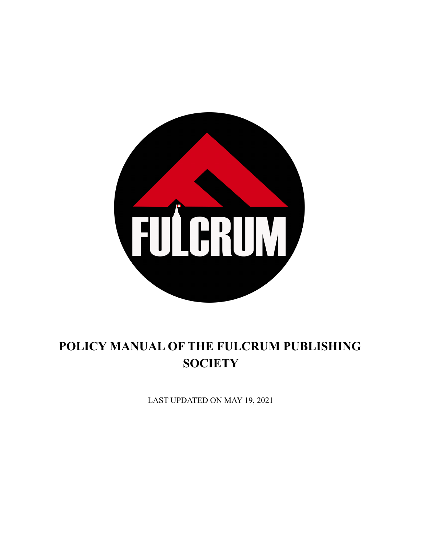

# **POLICY MANUAL OF THE FULCRUM PUBLISHING SOCIETY**

LAST UPDATED ON MAY 19, 2021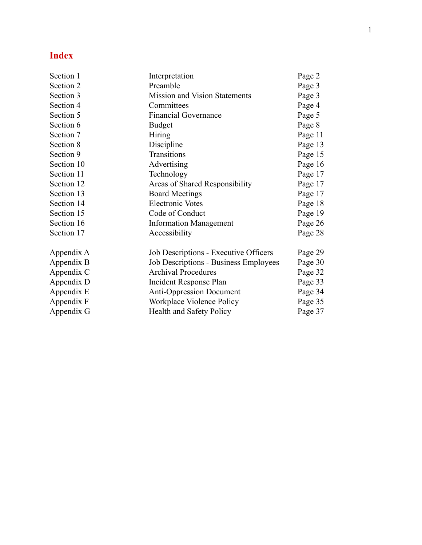### **I n d e x**

| Page 2  |
|---------|
| Page 3  |
| Page 3  |
| Page 4  |
| Page 5  |
| Page 8  |
| Page 11 |
| Page 13 |
| Page 15 |
| Page 16 |
| Page 17 |
| Page 17 |
| Page 17 |
| Page 18 |
| Page 19 |
| Page 26 |
| Page 28 |
| Page 29 |
| Page 30 |
| Page 32 |
| Page 33 |
| Page 34 |
| Page 35 |
| Page 37 |
|         |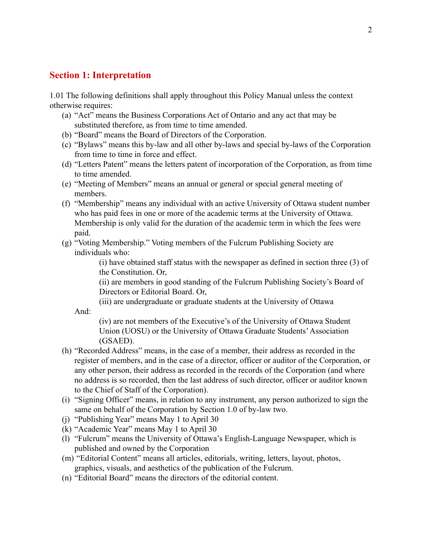### **Section 1: Interpretation**

1.01 The following definitions shall apply throughout this Policy Manual unless the context otherwise requires:

- (a) "Act" means the Business Corporations Act of Ontario and any act that may be substituted therefore, as from time to time amended.
- (b) "Board" means the Board of Directors of the Corporation.
- (c) "Bylaws" means this by-law and all other by-laws and special by-laws of the Corporation from time to time in force and effect.
- (d) "Letters Patent" means the letters patent of incorporation of the Corporation, as from time to time amended.
- (e) "Meeting of Members" means an annual or general or special general meeting of members.
- (f) "Membership" means any individual with an active University of Ottawa student number who has paid fees in one or more of the academic terms at the University of Ottawa. Membership is only valid for the duration of the academic term in which the fees were paid.
- (g) "Voting Membership." Voting members of the Fulcrum Publishing Society are individuals who:

(i) have obtained staff status with the newspaper as defined in section three (3) of the Constitution. Or,

(ii) are members in good standing of the Fulcrum Publishing Society's Board of Directors or Editorial Board. Or,

(iii) are undergraduate or graduate students at the University of Ottawa

And:

(iv) are not members of the Executive's of the University of Ottawa Student Union (UOSU) or the University of Ottawa Graduate Students'Association (GSAED).

- (h) "Recorded Address" means, in the case of a member, their address as recorded in the register of members, and in the case of a director, officer or auditor of the Corporation, or any other person, their address as recorded in the records of the Corporation (and where no address is so recorded, then the last address of such director, officer or auditor known to the Chief of Staff of the Corporation).
- (i) "Signing Officer" means, in relation to any instrument, any person authorized to sign the same on behalf of the Corporation by Section 1.0 of by-law two.
- (j) "Publishing Year" means May 1 to April 30
- (k) "Academic Year" means May 1 to April 30
- (l) "Fulcrum" means the University of Ottawa's English-Language Newspaper, which is published and owned by the Corporation
- (m) "Editorial Content" means all articles, editorials, writing, letters, layout, photos, graphics, visuals, and aesthetics of the publication of the Fulcrum.
- (n) "Editorial Board" means the directors of the editorial content.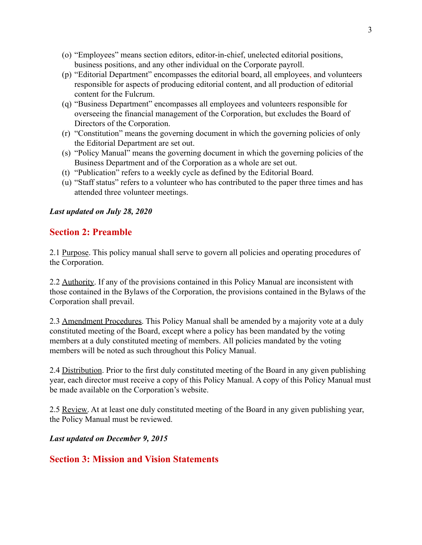- (o) "Employees" means section editors, editor-in-chief, unelected editorial positions, business positions, and any other individual on the Corporate payroll.
- (p) "Editorial Department" encompasses the editorial board, all employees, and volunteers responsible for aspects of producing editorial content, and all production of editorial content for the Fulcrum.
- (q) "Business Department" encompasses all employees and volunteers responsible for overseeing the financial management of the Corporation, but excludes the Board of Directors of the Corporation.
- (r) "Constitution" means the governing document in which the governing policies of only the Editorial Department are set out.
- (s) "Policy Manual" means the governing document in which the governing policies of the Business Department and of the Corporation as a whole are set out.
- (t) "Publication" refers to a weekly cycle as defined by the Editorial Board.
- (u) "Staff status" refers to a volunteer who has contributed to the paper three times and has attended three volunteer meetings.

### *Last updated on July 28, 2020*

# **Section 2: Preamble**

2.1 Purpose. This policy manual shall serve to govern all policies and operating procedures of the Corporation.

2.2 Authority. If any of the provisions contained in this Policy Manual are inconsistent with those contained in the Bylaws of the Corporation, the provisions contained in the Bylaws of the Corporation shall prevail.

2.3 Amendment Procedures. This Policy Manual shall be amended by a majority vote at a duly constituted meeting of the Board, except where a policy has been mandated by the voting members at a duly constituted meeting of members. All policies mandated by the voting members will be noted as such throughout this Policy Manual.

2.4 Distribution. Prior to the first duly constituted meeting of the Board in any given publishing year, each director must receive a copy of this Policy Manual. A copy of this Policy Manual must be made available on the Corporation's website.

2.5 Review. At at least one duly constituted meeting of the Board in any given publishing year, the Policy Manual must be reviewed.

*Last updated on December 9, 2015*

### **Section 3: Mission and Vision Statements**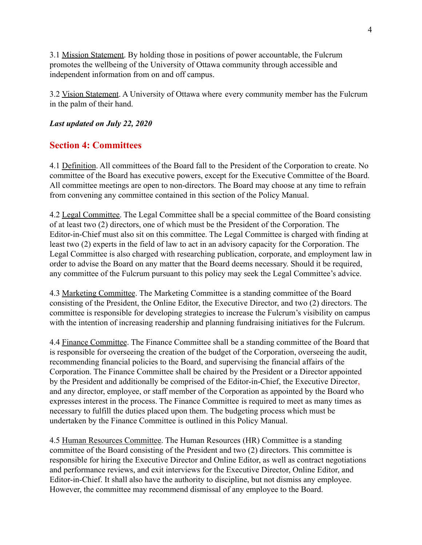3.1 Mission Statement. By holding those in positions of power accountable, the Fulcrum promotes the wellbeing of the University of Ottawa community through accessible and independent information from on and off campus.

3.2 Vision Statement. A University of Ottawa where every community member has the Fulcrum in the palm of their hand.

### *Last updated on July 22, 2020*

### **Section 4: Committees**

4.1 Definition. All committees of the Board fall to the President of the Corporation to create. No committee of the Board has executive powers, except for the Executive Committee of the Board. All committee meetings are open to non-directors. The Board may choose at any time to refrain from convening any committee contained in this section of the Policy Manual.

4.2 Legal Committee. The Legal Committee shall be a special committee of the Board consisting of at least two (2) directors, one of which must be the President of the Corporation. The Editor-in-Chief must also sit on this committee. The Legal Committee is charged with finding at least two (2) experts in the field of law to act in an advisory capacity for the Corporation. The Legal Committee is also charged with researching publication, corporate, and employment law in order to advise the Board on any matter that the Board deems necessary. Should it be required, any committee of the Fulcrum pursuant to this policy may seek the Legal Committee's advice.

4.3 Marketing Committee. The Marketing Committee is a standing committee of the Board consisting of the President, the Online Editor, the Executive Director, and two (2) directors. The committee is responsible for developing strategies to increase the Fulcrum's visibility on campus with the intention of increasing readership and planning fundraising initiatives for the Fulcrum.

4.4 Finance Committee. The Finance Committee shall be a standing committee of the Board that is responsible for overseeing the creation of the budget of the Corporation, overseeing the audit, recommending financial policies to the Board, and supervising the financial affairs of the Corporation. The Finance Committee shall be chaired by the President or a Director appointed by the President and additionally be comprised of the Editor-in-Chief, the Executive Director, and any director, employee, or staff member of the Corporation as appointed by the Board who expresses interest in the process. The Finance Committee is required to meet as many times as necessary to fulfill the duties placed upon them. The budgeting process which must be undertaken by the Finance Committee is outlined in this Policy Manual.

4.5 Human Resources Committee. The Human Resources (HR) Committee is a standing committee of the Board consisting of the President and two (2) directors. This committee is responsible for hiring the Executive Director and Online Editor, as well as contract negotiations and performance reviews, and exit interviews for the Executive Director, Online Editor, and Editor-in-Chief. It shall also have the authority to discipline, but not dismiss any employee. However, the committee may recommend dismissal of any employee to the Board.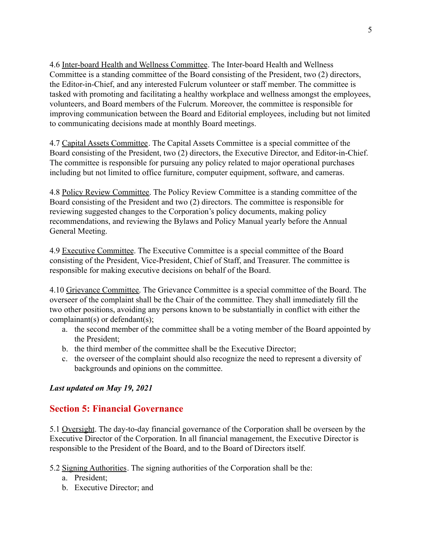4.6 Inter-board Health and Wellness Committee. The Inter-board Health and Wellness Committee is a standing committee of the Board consisting of the President, two (2) directors, the Editor-in-Chief, and any interested Fulcrum volunteer or staff member. The committee is tasked with promoting and facilitating a healthy workplace and wellness amongst the employees, volunteers, and Board members of the Fulcrum. Moreover, the committee is responsible for improving communication between the Board and Editorial employees, including but not limited to communicating decisions made at monthly Board meetings.

4.7 Capital Assets Committee. The Capital Assets Committee is a special committee of the Board consisting of the President, two (2) directors, the Executive Director, and Editor-in-Chief. The committee is responsible for pursuing any policy related to major operational purchases including but not limited to office furniture, computer equipment, software, and cameras.

4.8 Policy Review Committee. The Policy Review Committee is a standing committee of the Board consisting of the President and two (2) directors. The committee is responsible for reviewing suggested changes to the Corporation's policy documents, making policy recommendations, and reviewing the Bylaws and Policy Manual yearly before the Annual General Meeting.

4.9 Executive Committee. The Executive Committee is a special committee of the Board consisting of the President, Vice-President, Chief of Staff, and Treasurer. The committee is responsible for making executive decisions on behalf of the Board.

4.10 Grievance Committee. The Grievance Committee is a special committee of the Board. The overseer of the complaint shall be the Chair of the committee. They shall immediately fill the two other positions, avoiding any persons known to be substantially in conflict with either the complainant(s) or defendant(s);

- a. the second member of the committee shall be a voting member of the Board appointed by the President;
- b. the third member of the committee shall be the Executive Director;
- c. the overseer of the complaint should also recognize the need to represent a diversity of backgrounds and opinions on the committee.

### *Last updated on May 19, 2021*

# **Section 5: Financial Governance**

5.1 Oversight. The day-to-day financial governance of the Corporation shall be overseen by the Executive Director of the Corporation. In all financial management, the Executive Director is responsible to the President of the Board, and to the Board of Directors itself.

5.2 Signing Authorities. The signing authorities of the Corporation shall be the:

- a. President;
- b. Executive Director; and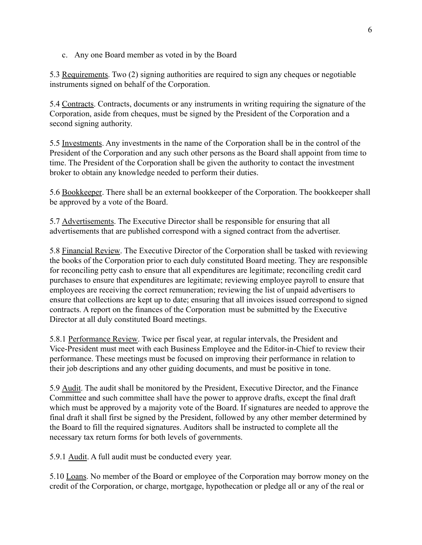c. Any one Board member as voted in by the Board

5.3 Requirements. Two (2) signing authorities are required to sign any cheques or negotiable instruments signed on behalf of the Corporation.

5.4 Contracts. Contracts, documents or any instruments in writing requiring the signature of the Corporation, aside from cheques, must be signed by the President of the Corporation and a second signing authority.

5.5 Investments. Any investments in the name of the Corporation shall be in the control of the President of the Corporation and any such other persons as the Board shall appoint from time to time. The President of the Corporation shall be given the authority to contact the investment broker to obtain any knowledge needed to perform their duties.

5.6 Bookkeeper. There shall be an external bookkeeper of the Corporation. The bookkeeper shall be approved by a vote of the Board.

5.7 Advertisements. The Executive Director shall be responsible for ensuring that all advertisements that are published correspond with a signed contract from the advertiser.

5.8 Financial Review. The Executive Director of the Corporation shall be tasked with reviewing the books of the Corporation prior to each duly constituted Board meeting. They are responsible for reconciling petty cash to ensure that all expenditures are legitimate; reconciling credit card purchases to ensure that expenditures are legitimate; reviewing employee payroll to ensure that employees are receiving the correct remuneration; reviewing the list of unpaid advertisers to ensure that collections are kept up to date; ensuring that all invoices issued correspond to signed contracts. A report on the finances of the Corporation must be submitted by the Executive Director at all duly constituted Board meetings.

5.8.1 Performance Review. Twice per fiscal year, at regular intervals, the President and Vice-President must meet with each Business Employee and the Editor-in-Chief to review their performance. These meetings must be focused on improving their performance in relation to their job descriptions and any other guiding documents, and must be positive in tone.

5.9 Audit. The audit shall be monitored by the President, Executive Director, and the Finance Committee and such committee shall have the power to approve drafts, except the final draft which must be approved by a majority vote of the Board. If signatures are needed to approve the final draft it shall first be signed by the President, followed by any other member determined by the Board to fill the required signatures. Auditors shall be instructed to complete all the necessary tax return forms for both levels of governments.

5.9.1 Audit. A full audit must be conducted every year.

5.10 Loans. No member of the Board or employee of the Corporation may borrow money on the credit of the Corporation, or charge, mortgage, hypothecation or pledge all or any of the real or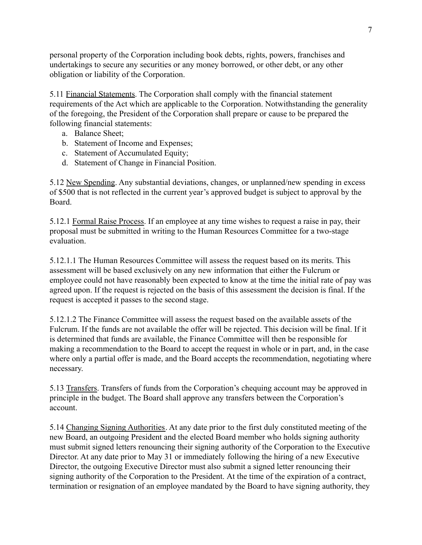personal property of the Corporation including book debts, rights, powers, franchises and undertakings to secure any securities or any money borrowed, or other debt, or any other obligation or liability of the Corporation.

5.11 Financial Statements. The Corporation shall comply with the financial statement requirements of the Act which are applicable to the Corporation. Notwithstanding the generality of the foregoing, the President of the Corporation shall prepare or cause to be prepared the following financial statements:

- a. Balance Sheet;
- b. Statement of Income and Expenses;
- c. Statement of Accumulated Equity;
- d. Statement of Change in Financial Position.

5.12 New Spending. Any substantial deviations, changes, or unplanned/new spending in excess of \$500 that is not reflected in the current year's approved budget is subject to approval by the Board.

5.12.1 Formal Raise Process. If an employee at any time wishes to request a raise in pay, their proposal must be submitted in writing to the Human Resources Committee for a two-stage evaluation.

5.12.1.1 The Human Resources Committee will assess the request based on its merits. This assessment will be based exclusively on any new information that either the Fulcrum or employee could not have reasonably been expected to know at the time the initial rate of pay was agreed upon. If the request is rejected on the basis of this assessment the decision is final. If the request is accepted it passes to the second stage.

5.12.1.2 The Finance Committee will assess the request based on the available assets of the Fulcrum. If the funds are not available the offer will be rejected. This decision will be final. If it is determined that funds are available, the Finance Committee will then be responsible for making a recommendation to the Board to accept the request in whole or in part, and, in the case where only a partial offer is made, and the Board accepts the recommendation, negotiating where necessary.

5.13 Transfers. Transfers of funds from the Corporation's chequing account may be approved in principle in the budget. The Board shall approve any transfers between the Corporation's account.

5.14 Changing Signing Authorities. At any date prior to the first duly constituted meeting of the new Board, an outgoing President and the elected Board member who holds signing authority must submit signed letters renouncing their signing authority of the Corporation to the Executive Director. At any date prior to May 31 or immediately following the hiring of a new Executive Director, the outgoing Executive Director must also submit a signed letter renouncing their signing authority of the Corporation to the President. At the time of the expiration of a contract, termination or resignation of an employee mandated by the Board to have signing authority, they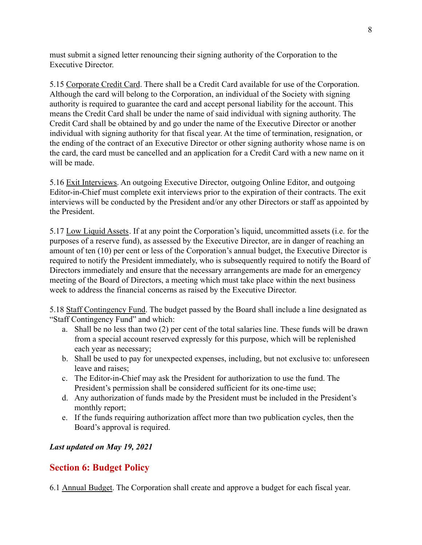must submit a signed letter renouncing their signing authority of the Corporation to the Executive Director.

5.15 Corporate Credit Card. There shall be a Credit Card available for use of the Corporation. Although the card will belong to the Corporation, an individual of the Society with signing authority is required to guarantee the card and accept personal liability for the account. This means the Credit Card shall be under the name of said individual with signing authority. The Credit Card shall be obtained by and go under the name of the Executive Director or another individual with signing authority for that fiscal year. At the time of termination, resignation, or the ending of the contract of an Executive Director or other signing authority whose name is on the card, the card must be cancelled and an application for a Credit Card with a new name on it will be made.

5.16 Exit Interviews. An outgoing Executive Director, outgoing Online Editor, and outgoing Editor-in-Chief must complete exit interviews prior to the expiration of their contracts. The exit interviews will be conducted by the President and/or any other Directors or staff as appointed by the President.

5.17 Low Liquid Assets. If at any point the Corporation's liquid, uncommitted assets (i.e. for the purposes of a reserve fund), as assessed by the Executive Director, are in danger of reaching an amount of ten (10) per cent or less of the Corporation's annual budget, the Executive Director is required to notify the President immediately, who is subsequently required to notify the Board of Directors immediately and ensure that the necessary arrangements are made for an emergency meeting of the Board of Directors, a meeting which must take place within the next business week to address the financial concerns as raised by the Executive Director.

5.18 Staff Contingency Fund. The budget passed by the Board shall include a line designated as "Staff Contingency Fund" and which:

- a. Shall be no less than two (2) per cent of the total salaries line. These funds will be drawn from a special account reserved expressly for this purpose, which will be replenished each year as necessary;
- b. Shall be used to pay for unexpected expenses, including, but not exclusive to: unforeseen leave and raises;
- c. The Editor-in-Chief may ask the President for authorization to use the fund. The President's permission shall be considered sufficient for its one-time use;
- d. Any authorization of funds made by the President must be included in the President's monthly report;
- e. If the funds requiring authorization affect more than two publication cycles, then the Board's approval is required.

### *Last updated on May 19, 2021*

# **Section 6: Budget Policy**

6.1 Annual Budget. The Corporation shall create and approve a budget for each fiscal year.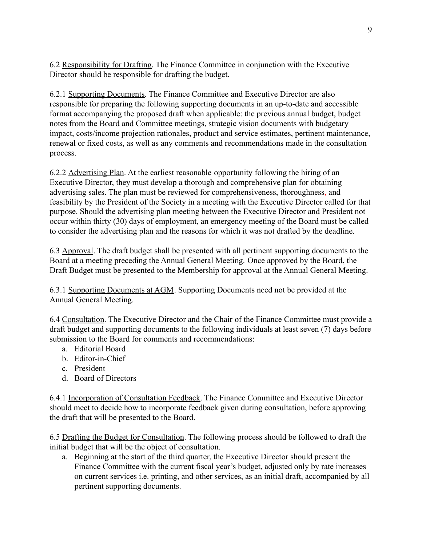6.2 Responsibility for Drafting. The Finance Committee in conjunction with the Executive Director should be responsible for drafting the budget.

6.2.1 Supporting Documents. The Finance Committee and Executive Director are also responsible for preparing the following supporting documents in an up-to-date and accessible format accompanying the proposed draft when applicable: the previous annual budget, budget notes from the Board and Committee meetings, strategic vision documents with budgetary impact, costs/income projection rationales, product and service estimates, pertinent maintenance, renewal or fixed costs, as well as any comments and recommendations made in the consultation process.

6.2.2 Advertising Plan. At the earliest reasonable opportunity following the hiring of an Executive Director, they must develop a thorough and comprehensive plan for obtaining advertising sales. The plan must be reviewed for comprehensiveness, thoroughness, and feasibility by the President of the Society in a meeting with the Executive Director called for that purpose. Should the advertising plan meeting between the Executive Director and President not occur within thirty (30) days of employment, an emergency meeting of the Board must be called to consider the advertising plan and the reasons for which it was not drafted by the deadline.

6.3 Approval. The draft budget shall be presented with all pertinent supporting documents to the Board at a meeting preceding the Annual General Meeting. Once approved by the Board, the Draft Budget must be presented to the Membership for approval at the Annual General Meeting.

6.3.1 Supporting Documents at AGM. Supporting Documents need not be provided at the Annual General Meeting.

6.4 Consultation. The Executive Director and the Chair of the Finance Committee must provide a draft budget and supporting documents to the following individuals at least seven (7) days before submission to the Board for comments and recommendations:

- a. Editorial Board
- b. Editor-in-Chief
- c. President
- d. Board of Directors

6.4.1 Incorporation of Consultation Feedback. The Finance Committee and Executive Director should meet to decide how to incorporate feedback given during consultation, before approving the draft that will be presented to the Board.

6.5 Drafting the Budget for Consultation. The following process should be followed to draft the initial budget that will be the object of consultation.

a. Beginning at the start of the third quarter, the Executive Director should present the Finance Committee with the current fiscal year's budget, adjusted only by rate increases on current services i.e. printing, and other services, as an initial draft, accompanied by all pertinent supporting documents.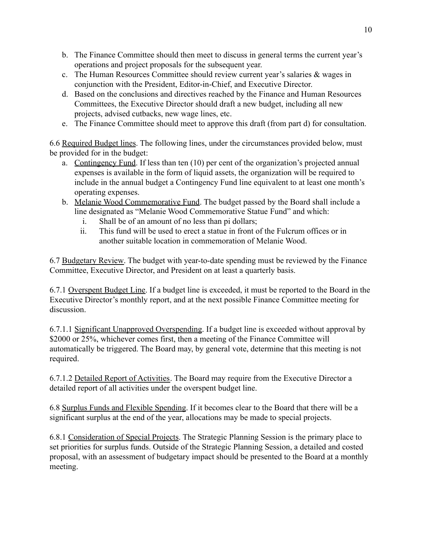- b. The Finance Committee should then meet to discuss in general terms the current year's operations and project proposals for the subsequent year.
- c. The Human Resources Committee should review current year's salaries & wages in conjunction with the President, Editor-in-Chief, and Executive Director.
- d. Based on the conclusions and directives reached by the Finance and Human Resources Committees, the Executive Director should draft a new budget, including all new projects, advised cutbacks, new wage lines, etc.
- e. The Finance Committee should meet to approve this draft (from part d) for consultation.

6.6 Required Budget lines. The following lines, under the circumstances provided below, must be provided for in the budget:

- a. Contingency Fund. If less than ten (10) per cent of the organization's projected annual expenses is available in the form of liquid assets, the organization will be required to include in the annual budget a Contingency Fund line equivalent to at least one month's operating expenses.
- b. Melanie Wood Commemorative Fund. The budget passed by the Board shall include a line designated as "Melanie Wood Commemorative Statue Fund" and which:
	- i. Shall be of an amount of no less than pi dollars;
	- ii. This fund will be used to erect a statue in front of the Fulcrum offices or in another suitable location in commemoration of Melanie Wood.

6.7 Budgetary Review. The budget with year-to-date spending must be reviewed by the Finance Committee, Executive Director, and President on at least a quarterly basis.

6.7.1 Overspent Budget Line. If a budget line is exceeded, it must be reported to the Board in the Executive Director's monthly report, and at the next possible Finance Committee meeting for discussion.

6.7.1.1 Significant Unapproved Overspending. If a budget line is exceeded without approval by \$2000 or 25%, whichever comes first, then a meeting of the Finance Committee will automatically be triggered. The Board may, by general vote, determine that this meeting is not required.

6.7.1.2 Detailed Report of Activities. The Board may require from the Executive Director a detailed report of all activities under the overspent budget line.

6.8 Surplus Funds and Flexible Spending. If it becomes clear to the Board that there will be a significant surplus at the end of the year, allocations may be made to special projects.

6.8.1 Consideration of Special Projects. The Strategic Planning Session is the primary place to set priorities for surplus funds. Outside of the Strategic Planning Session, a detailed and costed proposal, with an assessment of budgetary impact should be presented to the Board at a monthly meeting.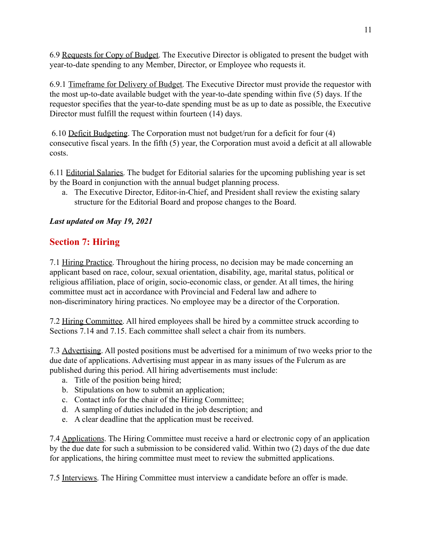6.9 Requests for Copy of Budget. The Executive Director is obligated to present the budget with year-to-date spending to any Member, Director, or Employee who requests it.

6.9.1 Timeframe for Delivery of Budget. The Executive Director must provide the requestor with the most up-to-date available budget with the year-to-date spending within five (5) days. If the requestor specifies that the year-to-date spending must be as up to date as possible, the Executive Director must fulfill the request within fourteen (14) days.

6.10 Deficit Budgeting. The Corporation must not budget/run for a deficit for four (4) consecutive fiscal years. In the fifth (5) year, the Corporation must avoid a deficit at all allowable costs.

6.11 Editorial Salaries. The budget for Editorial salaries for the upcoming publishing year is set by the Board in conjunction with the annual budget planning process.

a. The Executive Director, Editor-in-Chief, and President shall review the existing salary structure for the Editorial Board and propose changes to the Board.

### *Last updated on May 19, 2021*

# **Section 7: Hiring**

7.1 Hiring Practice. Throughout the hiring process, no decision may be made concerning an applicant based on race, colour, sexual orientation, disability, age, marital status, political or religious affiliation, place of origin, socio-economic class, or gender. At all times, the hiring committee must act in accordance with Provincial and Federal law and adhere to non-discriminatory hiring practices. No employee may be a director of the Corporation.

7.2 Hiring Committee. All hired employees shall be hired by a committee struck according to Sections 7.14 and 7.15. Each committee shall select a chair from its numbers.

7.3 Advertising. All posted positions must be advertised for a minimum of two weeks prior to the due date of applications. Advertising must appear in as many issues of the Fulcrum as are published during this period. All hiring advertisements must include:

- a. Title of the position being hired;
- b. Stipulations on how to submit an application;
- c. Contact info for the chair of the Hiring Committee;
- d. A sampling of duties included in the job description; and
- e. A clear deadline that the application must be received.

7.4 Applications. The Hiring Committee must receive a hard or electronic copy of an application by the due date for such a submission to be considered valid. Within two (2) days of the due date for applications, the hiring committee must meet to review the submitted applications.

7.5 Interviews. The Hiring Committee must interview a candidate before an offer is made.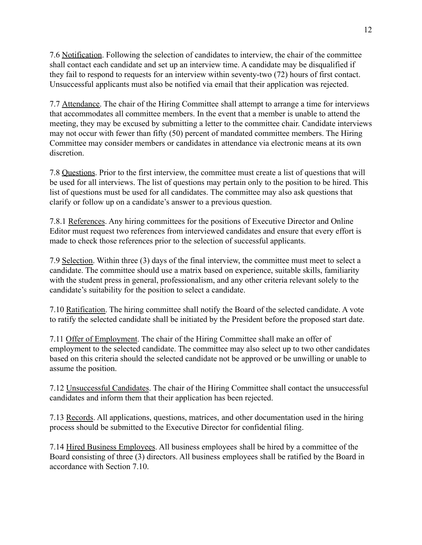7.6 Notification. Following the selection of candidates to interview, the chair of the committee shall contact each candidate and set up an interview time. A candidate may be disqualified if they fail to respond to requests for an interview within seventy-two (72) hours of first contact. Unsuccessful applicants must also be notified via email that their application was rejected.

7.7 Attendance. The chair of the Hiring Committee shall attempt to arrange a time for interviews that accommodates all committee members. In the event that a member is unable to attend the meeting, they may be excused by submitting a letter to the committee chair. Candidate interviews may not occur with fewer than fifty (50) percent of mandated committee members. The Hiring Committee may consider members or candidates in attendance via electronic means at its own discretion.

7.8 Questions. Prior to the first interview, the committee must create a list of questions that will be used for all interviews. The list of questions may pertain only to the position to be hired. This list of questions must be used for all candidates. The committee may also ask questions that clarify or follow up on a candidate's answer to a previous question.

7.8.1 References. Any hiring committees for the positions of Executive Director and Online Editor must request two references from interviewed candidates and ensure that every effort is made to check those references prior to the selection of successful applicants.

7.9 Selection. Within three (3) days of the final interview, the committee must meet to select a candidate. The committee should use a matrix based on experience, suitable skills, familiarity with the student press in general, professionalism, and any other criteria relevant solely to the candidate's suitability for the position to select a candidate.

7.10 Ratification. The hiring committee shall notify the Board of the selected candidate. A vote to ratify the selected candidate shall be initiated by the President before the proposed start date.

7.11 Offer of Employment. The chair of the Hiring Committee shall make an offer of employment to the selected candidate. The committee may also select up to two other candidates based on this criteria should the selected candidate not be approved or be unwilling or unable to assume the position.

7.12 Unsuccessful Candidates. The chair of the Hiring Committee shall contact the unsuccessful candidates and inform them that their application has been rejected.

7.13 Records. All applications, questions, matrices, and other documentation used in the hiring process should be submitted to the Executive Director for confidential filing.

7.14 Hired Business Employees. All business employees shall be hired by a committee of the Board consisting of three (3) directors. All business employees shall be ratified by the Board in accordance with Section 7.10.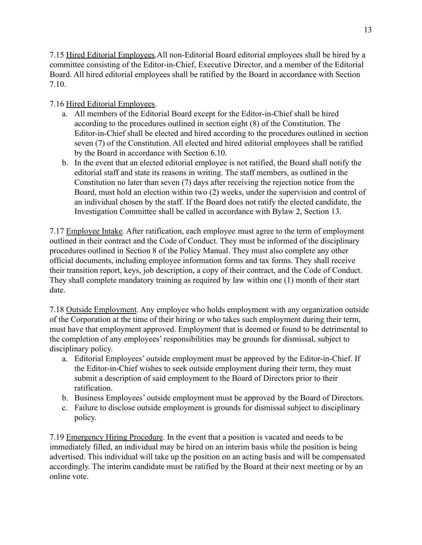7.15 Hired Editorial Employees.All non-Editorial Board editorial employees shall be hired by a committee consisting of the Editor-in-Chief, Executive Director, and a member of the Editorial Board. All hired editorial employees shall be ratified by the Board in accordance with Section 7.10.

### 7.16 Hired Editorial Employees.

- a. All members of the Editorial Board except for the Editor-in-Chief shall be hired according to the procedures outlined in section eight (8) of the Constitution. The Editor-in-Chief shall be elected and hired according to the procedures outlined in section seven (7) of the Constitution. All elected and hired editorial employees shall be ratified by the Board in accordance with Section 6.10.
- b. In the event that an elected editorial employee is not ratified, the Board shall notify the editorial staff and state its reasons in writing. The staff members, as outlined in the Constitution no later than seven (7) days after receiving the rejection notice from the Board, must hold an election within two (2) weeks, under the supervision and control of an individual chosen by the staff. If the Board does not ratify the elected candidate, the Investigation Committee shall be called in accordance with Bylaw 2, Section 13.

7.17 Employee Intake. After ratification, each employee must agree to the term of employment outlined in their contract and the Code of Conduct. They must be informed of the disciplinary procedures outlined in Section 8 of the Policy Manual. They must also complete any other official documents, including employee information forms and tax forms. They shall receive their transition report, keys, job description, a copy of their contract, and the Code of Conduct. They shall complete mandatory training as required by law within one (1) month of their start date.

7.18 Outside Employment. Any employee who holds employment with any organization outside of the Corporation at the time of their hiring or who takes such employment during their term, must have that employment approved. Employment that is deemed or found to be detrimental to the completion of any employees' responsibilities may be grounds for dismissal, subject to disciplinary policy.

- a. Editorial Employees' outside employment must be approved by the Editor-in-Chief. If the Editor-in-Chief wishes to seek outside employment during their term, they must submit a description of said employment to the Board of Directors prior to their ratification.
- b. Business Employees' outside employment must be approved by the Board of Directors.
- c. Failure to disclose outside employment is grounds for dismissal subject to disciplinary policy.

7.19 Emergency Hiring Procedure. In the event that a position is vacated and needs to be immediately filled, an individual may be hired on an interim basis while the position is being advertised. This individual will take up the position on an acting basis and will be compensated accordingly. The interim candidate must be ratified by the Board at their next meeting or by an online vote.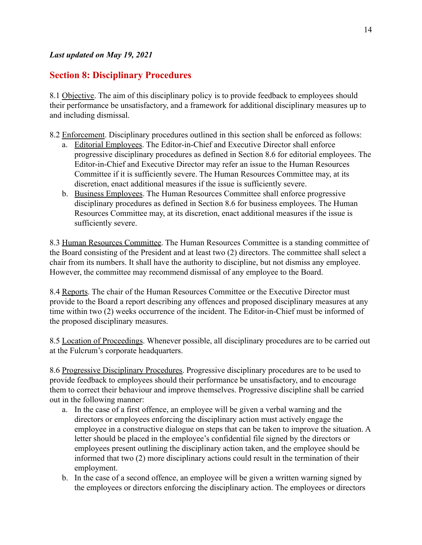# **Section 8: Disciplinary Procedures**

8.1 Objective. The aim of this disciplinary policy is to provide feedback to employees should their performance be unsatisfactory, and a framework for additional disciplinary measures up to and including dismissal.

8.2 Enforcement. Disciplinary procedures outlined in this section shall be enforced as follows:

- a. Editorial Employees. The Editor-in-Chief and Executive Director shall enforce progressive disciplinary procedures as defined in Section 8.6 for editorial employees. The Editor-in-Chief and Executive Director may refer an issue to the Human Resources Committee if it is sufficiently severe. The Human Resources Committee may, at its discretion, enact additional measures if the issue is sufficiently severe.
- b. Business Employees. The Human Resources Committee shall enforce progressive disciplinary procedures as defined in Section 8.6 for business employees. The Human Resources Committee may, at its discretion, enact additional measures if the issue is sufficiently severe.

8.3 Human Resources Committee. The Human Resources Committee is a standing committee of the Board consisting of the President and at least two (2) directors. The committee shall select a chair from its numbers. It shall have the authority to discipline, but not dismiss any employee. However, the committee may recommend dismissal of any employee to the Board.

8.4 Reports. The chair of the Human Resources Committee or the Executive Director must provide to the Board a report describing any offences and proposed disciplinary measures at any time within two (2) weeks occurrence of the incident. The Editor-in-Chief must be informed of the proposed disciplinary measures.

8.5 Location of Proceedings. Whenever possible, all disciplinary procedures are to be carried out at the Fulcrum's corporate headquarters.

8.6 Progressive Disciplinary Procedures. Progressive disciplinary procedures are to be used to provide feedback to employees should their performance be unsatisfactory, and to encourage them to correct their behaviour and improve themselves. Progressive discipline shall be carried out in the following manner:

- a. In the case of a first offence, an employee will be given a verbal warning and the directors or employees enforcing the disciplinary action must actively engage the employee in a constructive dialogue on steps that can be taken to improve the situation. A letter should be placed in the employee's confidential file signed by the directors or employees present outlining the disciplinary action taken, and the employee should be informed that two (2) more disciplinary actions could result in the termination of their employment.
- b. In the case of a second offence, an employee will be given a written warning signed by the employees or directors enforcing the disciplinary action. The employees or directors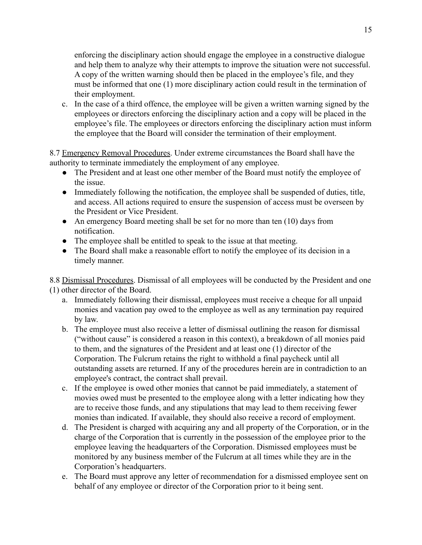enforcing the disciplinary action should engage the employee in a constructive dialogue and help them to analyze why their attempts to improve the situation were not successful. A copy of the written warning should then be placed in the employee's file, and they must be informed that one (1) more disciplinary action could result in the termination of their employment.

c. In the case of a third offence, the employee will be given a written warning signed by the employees or directors enforcing the disciplinary action and a copy will be placed in the employee's file. The employees or directors enforcing the disciplinary action must inform the employee that the Board will consider the termination of their employment.

8.7 Emergency Removal Procedures. Under extreme circumstances the Board shall have the authority to terminate immediately the employment of any employee.

- The President and at least one other member of the Board must notify the employee of the issue.
- Immediately following the notification, the employee shall be suspended of duties, title, and access. All actions required to ensure the suspension of access must be overseen by the President or Vice President.
- An emergency Board meeting shall be set for no more than ten (10) days from notification.
- The employee shall be entitled to speak to the issue at that meeting.
- The Board shall make a reasonable effort to notify the employee of its decision in a timely manner.

8.8 Dismissal Procedures. Dismissal of all employees will be conducted by the President and one (1) other director of the Board.

- a. Immediately following their dismissal, employees must receive a cheque for all unpaid monies and vacation pay owed to the employee as well as any termination pay required by law.
- b. The employee must also receive a letter of dismissal outlining the reason for dismissal ("without cause" is considered a reason in this context), a breakdown of all monies paid to them, and the signatures of the President and at least one (1) director of the Corporation. The Fulcrum retains the right to withhold a final paycheck until all outstanding assets are returned. If any of the procedures herein are in contradiction to an employee's contract, the contract shall prevail.
- c. If the employee is owed other monies that cannot be paid immediately, a statement of movies owed must be presented to the employee along with a letter indicating how they are to receive those funds, and any stipulations that may lead to them receiving fewer monies than indicated. If available, they should also receive a record of employment.
- d. The President is charged with acquiring any and all property of the Corporation, or in the charge of the Corporation that is currently in the possession of the employee prior to the employee leaving the headquarters of the Corporation. Dismissed employees must be monitored by any business member of the Fulcrum at all times while they are in the Corporation's headquarters.
- e. The Board must approve any letter of recommendation for a dismissed employee sent on behalf of any employee or director of the Corporation prior to it being sent.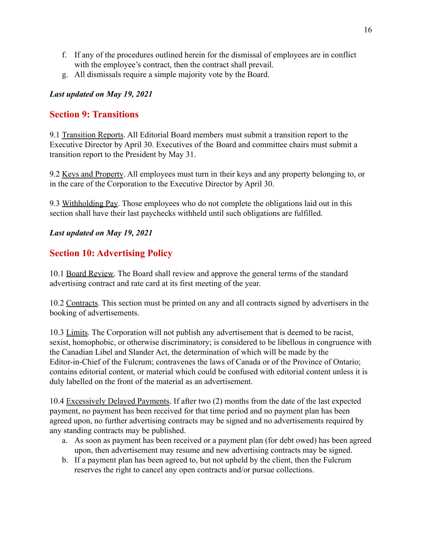- f. If any of the procedures outlined herein for the dismissal of employees are in conflict with the employee's contract, then the contract shall prevail.
- g. All dismissals require a simple majority vote by the Board.

### *Last updated on May 19, 2021*

### **Section 9: Transitions**

9.1 Transition Reports. All Editorial Board members must submit a transition report to the Executive Director by April 30. Executives of the Board and committee chairs must submit a transition report to the President by May 31.

9.2 Keys and Property. All employees must turn in their keys and any property belonging to, or in the care of the Corporation to the Executive Director by April 30.

9.3 Withholding Pay. Those employees who do not complete the obligations laid out in this section shall have their last paychecks withheld until such obligations are fulfilled.

### *Last updated on May 19, 2021*

# **Section 10: Advertising Policy**

10.1 Board Review. The Board shall review and approve the general terms of the standard advertising contract and rate card at its first meeting of the year.

10.2 Contracts. This section must be printed on any and all contracts signed by advertisers in the booking of advertisements.

10.3 Limits. The Corporation will not publish any advertisement that is deemed to be racist, sexist, homophobic, or otherwise discriminatory; is considered to be libellous in congruence with the Canadian Libel and Slander Act, the determination of which will be made by the Editor-in-Chief of the Fulcrum; contravenes the laws of Canada or of the Province of Ontario; contains editorial content, or material which could be confused with editorial content unless it is duly labelled on the front of the material as an advertisement.

10.4 Excessively Delayed Payments. If after two (2) months from the date of the last expected payment, no payment has been received for that time period and no payment plan has been agreed upon, no further advertising contracts may be signed and no advertisements required by any standing contracts may be published.

- a. As soon as payment has been received or a payment plan (for debt owed) has been agreed upon, then advertisement may resume and new advertising contracts may be signed.
- b. If a payment plan has been agreed to, but not upheld by the client, then the Fulcrum reserves the right to cancel any open contracts and/or pursue collections.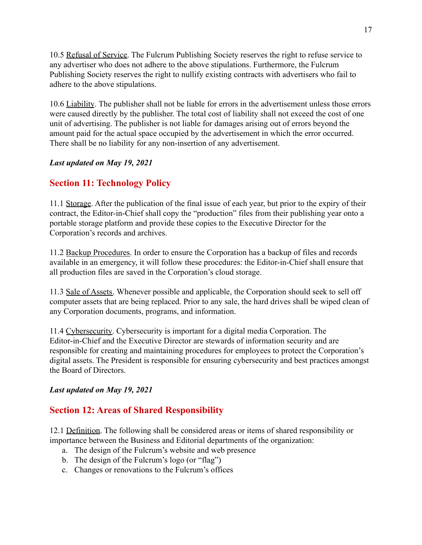10.5 Refusal of Service. The Fulcrum Publishing Society reserves the right to refuse service to any advertiser who does not adhere to the above stipulations. Furthermore, the Fulcrum Publishing Society reserves the right to nullify existing contracts with advertisers who fail to adhere to the above stipulations.

10.6 Liability. The publisher shall not be liable for errors in the advertisement unless those errors were caused directly by the publisher. The total cost of liability shall not exceed the cost of one unit of advertising. The publisher is not liable for damages arising out of errors beyond the amount paid for the actual space occupied by the advertisement in which the error occurred. There shall be no liability for any non-insertion of any advertisement.

### *Last updated on May 19, 2021*

# **Section 11: Technology Policy**

11.1 Storage. After the publication of the final issue of each year, but prior to the expiry of their contract, the Editor-in-Chief shall copy the "production" files from their publishing year onto a portable storage platform and provide these copies to the Executive Director for the Corporation's records and archives.

11.2 Backup Procedures. In order to ensure the Corporation has a backup of files and records available in an emergency, it will follow these procedures: the Editor-in-Chief shall ensure that all production files are saved in the Corporation's cloud storage.

11.3 Sale of Assets. Whenever possible and applicable, the Corporation should seek to sell off computer assets that are being replaced. Prior to any sale, the hard drives shall be wiped clean of any Corporation documents, programs, and information.

11.4 Cybersecurity. Cybersecurity is important for a digital media Corporation. The Editor-in-Chief and the Executive Director are stewards of information security and are responsible for creating and maintaining procedures for employees to protect the Corporation's digital assets. The President is responsible for ensuring cybersecurity and best practices amongst the Board of Directors.

### *Last updated on May 19, 2021*

# **Section 12: Areas of Shared Responsibility**

12.1 Definition. The following shall be considered areas or items of shared responsibility or importance between the Business and Editorial departments of the organization:

- a. The design of the Fulcrum's website and web presence
- b. The design of the Fulcrum's logo (or "flag")
- c. Changes or renovations to the Fulcrum's offices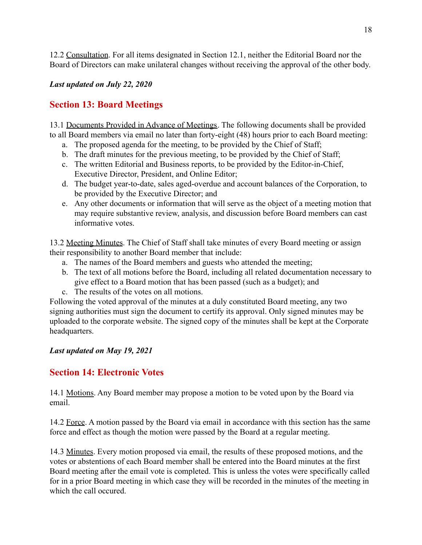12.2 Consultation. For all items designated in Section 12.1, neither the Editorial Board nor the Board of Directors can make unilateral changes without receiving the approval of the other body.

### *Last updated on July 22, 2020*

# **Section 13: Board Meetings**

13.1 Documents Provided in Advance of Meetings. The following documents shall be provided to all Board members via email no later than forty-eight (48) hours prior to each Board meeting:

- a. The proposed agenda for the meeting, to be provided by the Chief of Staff;
- b. The draft minutes for the previous meeting, to be provided by the Chief of Staff;
- c. The written Editorial and Business reports, to be provided by the Editor-in-Chief, Executive Director, President, and Online Editor;
- d. The budget year-to-date, sales aged-overdue and account balances of the Corporation, to be provided by the Executive Director; and
- e. Any other documents or information that will serve as the object of a meeting motion that may require substantive review, analysis, and discussion before Board members can cast informative votes.

13.2 Meeting Minutes. The Chief of Staff shall take minutes of every Board meeting or assign their responsibility to another Board member that include:

- a. The names of the Board members and guests who attended the meeting;
- b. The text of all motions before the Board, including all related documentation necessary to give effect to a Board motion that has been passed (such as a budget); and
- c. The results of the votes on all motions.

Following the voted approval of the minutes at a duly constituted Board meeting, any two signing authorities must sign the document to certify its approval. Only signed minutes may be uploaded to the corporate website. The signed copy of the minutes shall be kept at the Corporate headquarters.

### *Last updated on May 19, 2021*

# **Section 14: Electronic Votes**

14.1 Motions. Any Board member may propose a motion to be voted upon by the Board via email.

14.2 Force. A motion passed by the Board via email in accordance with this section has the same force and effect as though the motion were passed by the Board at a regular meeting.

14.3 Minutes. Every motion proposed via email, the results of these proposed motions, and the votes or abstentions of each Board member shall be entered into the Board minutes at the first Board meeting after the email vote is completed. This is unless the votes were specifically called for in a prior Board meeting in which case they will be recorded in the minutes of the meeting in which the call occured.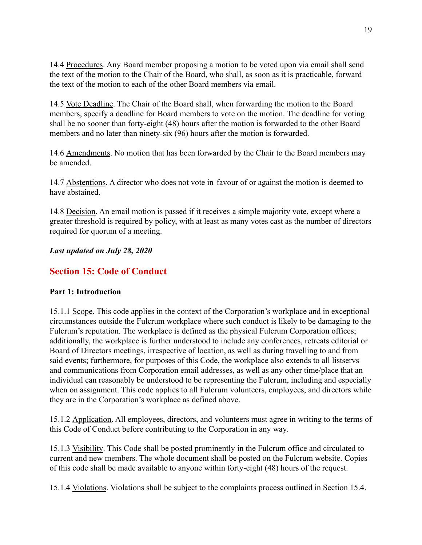14.4 Procedures. Any Board member proposing a motion to be voted upon via email shall send the text of the motion to the Chair of the Board, who shall, as soon as it is practicable, forward the text of the motion to each of the other Board members via email.

14.5 Vote Deadline. The Chair of the Board shall, when forwarding the motion to the Board members, specify a deadline for Board members to vote on the motion. The deadline for voting shall be no sooner than forty-eight (48) hours after the motion is forwarded to the other Board members and no later than ninety-six (96) hours after the motion is forwarded.

14.6 Amendments. No motion that has been forwarded by the Chair to the Board members may be amended.

14.7 Abstentions. A director who does not vote in favour of or against the motion is deemed to have abstained.

14.8 Decision. An email motion is passed if it receives a simple majority vote, except where a greater threshold is required by policy, with at least as many votes cast as the number of directors required for quorum of a meeting.

*Last updated on July 28, 2020*

# **Section 15: Code of Conduct**

### **Part 1: Introduction**

15.1.1 Scope. This code applies in the context of the Corporation's workplace and in exceptional circumstances outside the Fulcrum workplace where such conduct is likely to be damaging to the Fulcrum's reputation. The workplace is defined as the physical Fulcrum Corporation offices; additionally, the workplace is further understood to include any conferences, retreats editorial or Board of Directors meetings, irrespective of location, as well as during travelling to and from said events; furthermore, for purposes of this Code, the workplace also extends to all listservs and communications from Corporation email addresses, as well as any other time/place that an individual can reasonably be understood to be representing the Fulcrum, including and especially when on assignment. This code applies to all Fulcrum volunteers, employees, and directors while they are in the Corporation's workplace as defined above.

15.1.2 Application. All employees, directors, and volunteers must agree in writing to the terms of this Code of Conduct before contributing to the Corporation in any way.

15.1.3 Visibility. This Code shall be posted prominently in the Fulcrum office and circulated to current and new members. The whole document shall be posted on the Fulcrum website. Copies of this code shall be made available to anyone within forty-eight (48) hours of the request.

15.1.4 Violations. Violations shall be subject to the complaints process outlined in Section 15.4.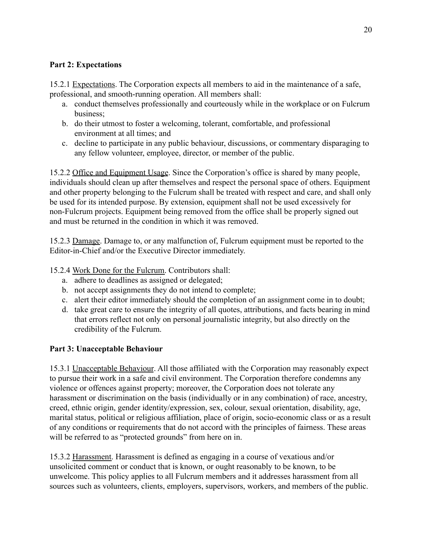### **Part 2: Expectations**

15.2.1 Expectations. The Corporation expects all members to aid in the maintenance of a safe, professional, and smooth-running operation. All members shall:

- a. conduct themselves professionally and courteously while in the workplace or on Fulcrum business;
- b. do their utmost to foster a welcoming, tolerant, comfortable, and professional environment at all times; and
- c. decline to participate in any public behaviour, discussions, or commentary disparaging to any fellow volunteer, employee, director, or member of the public.

15.2.2 Office and Equipment Usage. Since the Corporation's office is shared by many people, individuals should clean up after themselves and respect the personal space of others. Equipment and other property belonging to the Fulcrum shall be treated with respect and care, and shall only be used for its intended purpose. By extension, equipment shall not be used excessively for non-Fulcrum projects. Equipment being removed from the office shall be properly signed out and must be returned in the condition in which it was removed.

15.2.3 Damage. Damage to, or any malfunction of, Fulcrum equipment must be reported to the Editor-in-Chief and/or the Executive Director immediately.

15.2.4 Work Done for the Fulcrum. Contributors shall:

- a. adhere to deadlines as assigned or delegated;
- b. not accept assignments they do not intend to complete;
- c. alert their editor immediately should the completion of an assignment come in to doubt;
- d. take great care to ensure the integrity of all quotes, attributions, and facts bearing in mind that errors reflect not only on personal journalistic integrity, but also directly on the credibility of the Fulcrum.

### **Part 3: Unacceptable Behaviour**

15.3.1 Unacceptable Behaviour. All those affiliated with the Corporation may reasonably expect to pursue their work in a safe and civil environment. The Corporation therefore condemns any violence or offences against property; moreover, the Corporation does not tolerate any harassment or discrimination on the basis (individually or in any combination) of race, ancestry, creed, ethnic origin, gender identity/expression, sex, colour, sexual orientation, disability, age, marital status, political or religious affiliation, place of origin, socio-economic class or as a result of any conditions or requirements that do not accord with the principles of fairness. These areas will be referred to as "protected grounds" from here on in.

15.3.2 Harassment. Harassment is defined as engaging in a course of vexatious and/or unsolicited comment or conduct that is known, or ought reasonably to be known, to be unwelcome. This policy applies to all Fulcrum members and it addresses harassment from all sources such as volunteers, clients, employers, supervisors, workers, and members of the public.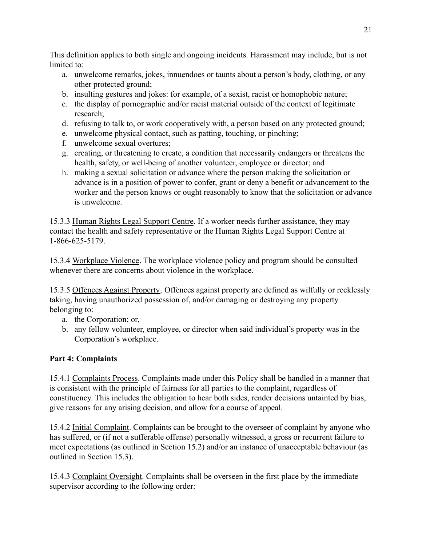This definition applies to both single and ongoing incidents. Harassment may include, but is not limited to:

- a. unwelcome remarks, jokes, innuendoes or taunts about a person's body, clothing, or any other protected ground;
- b. insulting gestures and jokes: for example, of a sexist, racist or homophobic nature;
- c. the display of pornographic and/or racist material outside of the context of legitimate research;
- d. refusing to talk to, or work cooperatively with, a person based on any protected ground;
- e. unwelcome physical contact, such as patting, touching, or pinching;
- f. unwelcome sexual overtures;
- g. creating, or threatening to create, a condition that necessarily endangers or threatens the health, safety, or well-being of another volunteer, employee or director; and
- h. making a sexual solicitation or advance where the person making the solicitation or advance is in a position of power to confer, grant or deny a benefit or advancement to the worker and the person knows or ought reasonably to know that the solicitation or advance is unwelcome.

15.3.3 Human Rights Legal Support Centre. If a worker needs further assistance, they may contact the health and safety representative or the Human Rights Legal Support Centre at 1-866-625-5179.

15.3.4 Workplace Violence. The workplace violence policy and program should be consulted whenever there are concerns about violence in the workplace.

15.3.5 Offences Against Property. Offences against property are defined as wilfully or recklessly taking, having unauthorized possession of, and/or damaging or destroying any property belonging to:

- a. the Corporation; or,
- b. any fellow volunteer, employee, or director when said individual's property was in the Corporation's workplace.

# **Part 4: Complaints**

15.4.1 Complaints Process. Complaints made under this Policy shall be handled in a manner that is consistent with the principle of fairness for all parties to the complaint, regardless of constituency. This includes the obligation to hear both sides, render decisions untainted by bias, give reasons for any arising decision, and allow for a course of appeal.

15.4.2 Initial Complaint. Complaints can be brought to the overseer of complaint by anyone who has suffered, or (if not a sufferable offense) personally witnessed, a gross or recurrent failure to meet expectations (as outlined in Section 15.2) and/or an instance of unacceptable behaviour (as outlined in Section 15.3).

15.4.3 Complaint Oversight. Complaints shall be overseen in the first place by the immediate supervisor according to the following order: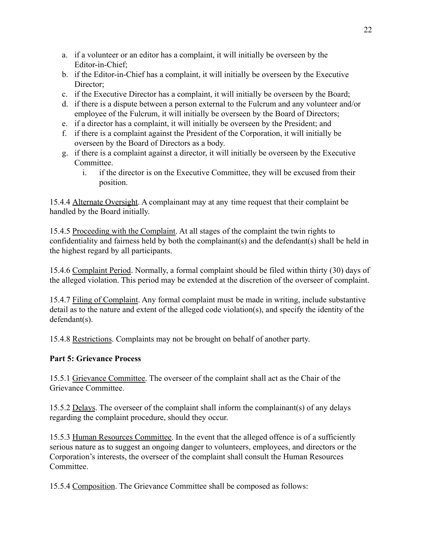- a. if a volunteer or an editor has a complaint, it will initially be overseen by the Editor-in-Chief;
- b. if the Editor-in-Chief has a complaint, it will initially be overseen by the Executive Director:
- c. if the Executive Director has a complaint, it will initially be overseen by the Board;
- d. if there is a dispute between a person external to the Fulcrum and any volunteer and/or employee of the Fulcrum, it will initially be overseen by the Board of Directors;
- e. if a director has a complaint, it will initially be overseen by the President; and
- f. if there is a complaint against the President of the Corporation, it will initially be overseen by the Board of Directors as a body.
- g. if there is a complaint against a director, it will initially be overseen by the Executive Committee.
	- i. if the director is on the Executive Committee, they will be excused from their position.

15.4.4 Alternate Oversight. A complainant may at any time request that their complaint be handled by the Board initially.

15.4.5 Proceeding with the Complaint. At all stages of the complaint the twin rights to confidentiality and fairness held by both the complainant(s) and the defendant(s) shall be held in the highest regard by all participants.

15.4.6 Complaint Period. Normally, a formal complaint should be filed within thirty (30) days of the alleged violation. This period may be extended at the discretion of the overseer of complaint.

15.4.7 Filing of Complaint. Any formal complaint must be made in writing, include substantive detail as to the nature and extent of the alleged code violation(s), and specify the identity of the defendant(s).

15.4.8 Restrictions. Complaints may not be brought on behalf of another party.

### **Part 5: Grievance Process**

15.5.1 Grievance Committee. The overseer of the complaint shall act as the Chair of the Grievance Committee.

15.5.2 Delays. The overseer of the complaint shall inform the complainant(s) of any delays regarding the complaint procedure, should they occur.

15.5.3 Human Resources Committee. In the event that the alleged offence is of a sufficiently serious nature as to suggest an ongoing danger to volunteers, employees, and directors or the Corporation's interests, the overseer of the complaint shall consult the Human Resources Committee.

15.5.4 Composition. The Grievance Committee shall be composed as follows: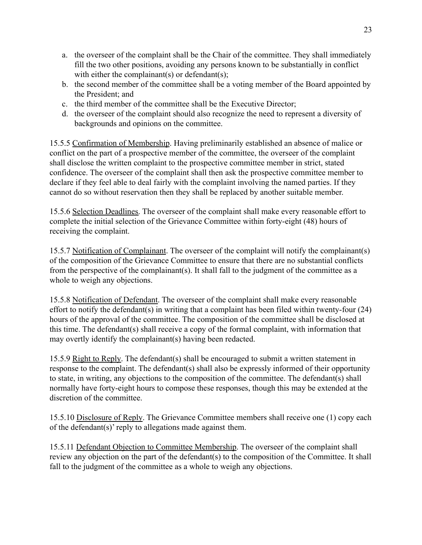- a. the overseer of the complaint shall be the Chair of the committee. They shall immediately fill the two other positions, avoiding any persons known to be substantially in conflict with either the complainant(s) or defendant(s);
- b. the second member of the committee shall be a voting member of the Board appointed by the President; and
- c. the third member of the committee shall be the Executive Director;
- d. the overseer of the complaint should also recognize the need to represent a diversity of backgrounds and opinions on the committee.

15.5.5 Confirmation of Membership. Having preliminarily established an absence of malice or conflict on the part of a prospective member of the committee, the overseer of the complaint shall disclose the written complaint to the prospective committee member in strict, stated confidence. The overseer of the complaint shall then ask the prospective committee member to declare if they feel able to deal fairly with the complaint involving the named parties. If they cannot do so without reservation then they shall be replaced by another suitable member.

15.5.6 Selection Deadlines. The overseer of the complaint shall make every reasonable effort to complete the initial selection of the Grievance Committee within forty-eight (48) hours of receiving the complaint.

15.5.7 Notification of Complainant. The overseer of the complaint will notify the complainant(s) of the composition of the Grievance Committee to ensure that there are no substantial conflicts from the perspective of the complainant(s). It shall fall to the judgment of the committee as a whole to weigh any objections.

15.5.8 Notification of Defendant. The overseer of the complaint shall make every reasonable effort to notify the defendant(s) in writing that a complaint has been filed within twenty-four (24) hours of the approval of the committee. The composition of the committee shall be disclosed at this time. The defendant(s) shall receive a copy of the formal complaint, with information that may overtly identify the complainant(s) having been redacted.

15.5.9 Right to Reply. The defendant(s) shall be encouraged to submit a written statement in response to the complaint. The defendant(s) shall also be expressly informed of their opportunity to state, in writing, any objections to the composition of the committee. The defendant(s) shall normally have forty-eight hours to compose these responses, though this may be extended at the discretion of the committee.

15.5.10 Disclosure of Reply. The Grievance Committee members shall receive one (1) copy each of the defendant(s)' reply to allegations made against them.

15.5.11 Defendant Objection to Committee Membership. The overseer of the complaint shall review any objection on the part of the defendant(s) to the composition of the Committee. It shall fall to the judgment of the committee as a whole to weigh any objections.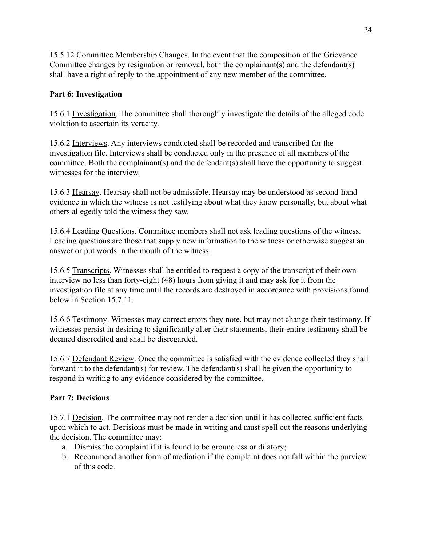15.5.12 Committee Membership Changes. In the event that the composition of the Grievance Committee changes by resignation or removal, both the complainant(s) and the defendant(s) shall have a right of reply to the appointment of any new member of the committee.

### **Part 6: Investigation**

15.6.1 Investigation. The committee shall thoroughly investigate the details of the alleged code violation to ascertain its veracity.

15.6.2 Interviews. Any interviews conducted shall be recorded and transcribed for the investigation file. Interviews shall be conducted only in the presence of all members of the committee. Both the complainant(s) and the defendant(s) shall have the opportunity to suggest witnesses for the interview.

15.6.3 Hearsay. Hearsay shall not be admissible. Hearsay may be understood as second-hand evidence in which the witness is not testifying about what they know personally, but about what others allegedly told the witness they saw.

15.6.4 Leading Questions. Committee members shall not ask leading questions of the witness. Leading questions are those that supply new information to the witness or otherwise suggest an answer or put words in the mouth of the witness.

15.6.5 Transcripts. Witnesses shall be entitled to request a copy of the transcript of their own interview no less than forty-eight (48) hours from giving it and may ask for it from the investigation file at any time until the records are destroyed in accordance with provisions found below in Section 15.7.11.

15.6.6 Testimony. Witnesses may correct errors they note, but may not change their testimony. If witnesses persist in desiring to significantly alter their statements, their entire testimony shall be deemed discredited and shall be disregarded.

15.6.7 Defendant Review. Once the committee is satisfied with the evidence collected they shall forward it to the defendant(s) for review. The defendant(s) shall be given the opportunity to respond in writing to any evidence considered by the committee.

### **Part 7: Decisions**

15.7.1 Decision. The committee may not render a decision until it has collected sufficient facts upon which to act. Decisions must be made in writing and must spell out the reasons underlying the decision. The committee may:

- a. Dismiss the complaint if it is found to be groundless or dilatory;
- b. Recommend another form of mediation if the complaint does not fall within the purview of this code.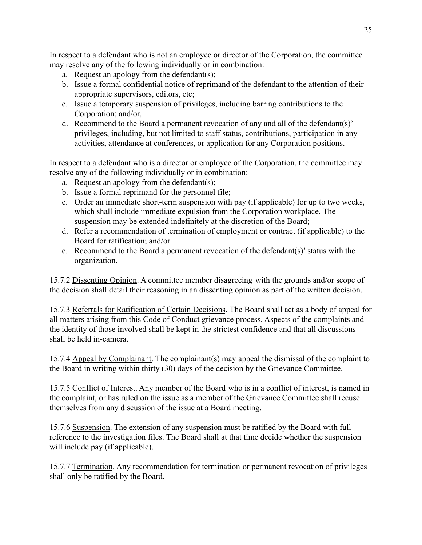In respect to a defendant who is not an employee or director of the Corporation, the committee may resolve any of the following individually or in combination:

- a. Request an apology from the defendant(s);
- b. Issue a formal confidential notice of reprimand of the defendant to the attention of their appropriate supervisors, editors, etc;
- c. Issue a temporary suspension of privileges, including barring contributions to the Corporation; and/or,
- d. Recommend to the Board a permanent revocation of any and all of the defendant(s)' privileges, including, but not limited to staff status, contributions, participation in any activities, attendance at conferences, or application for any Corporation positions.

In respect to a defendant who is a director or employee of the Corporation, the committee may resolve any of the following individually or in combination:

- a. Request an apology from the defendant(s);
- b. Issue a formal reprimand for the personnel file;
- c. Order an immediate short-term suspension with pay (if applicable) for up to two weeks, which shall include immediate expulsion from the Corporation workplace. The suspension may be extended indefinitely at the discretion of the Board;
- d. Refer a recommendation of termination of employment or contract (if applicable) to the Board for ratification; and/or
- e. Recommend to the Board a permanent revocation of the defendant(s)' status with the organization.

15.7.2 Dissenting Opinion. A committee member disagreeing with the grounds and/or scope of the decision shall detail their reasoning in an dissenting opinion as part of the written decision.

15.7.3 Referrals for Ratification of Certain Decisions. The Board shall act as a body of appeal for all matters arising from this Code of Conduct grievance process. Aspects of the complaints and the identity of those involved shall be kept in the strictest confidence and that all discussions shall be held in-camera.

15.7.4 Appeal by Complainant. The complainant(s) may appeal the dismissal of the complaint to the Board in writing within thirty (30) days of the decision by the Grievance Committee.

15.7.5 Conflict of Interest. Any member of the Board who is in a conflict of interest, is named in the complaint, or has ruled on the issue as a member of the Grievance Committee shall recuse themselves from any discussion of the issue at a Board meeting.

15.7.6 Suspension. The extension of any suspension must be ratified by the Board with full reference to the investigation files. The Board shall at that time decide whether the suspension will include pay (if applicable).

15.7.7 Termination. Any recommendation for termination or permanent revocation of privileges shall only be ratified by the Board.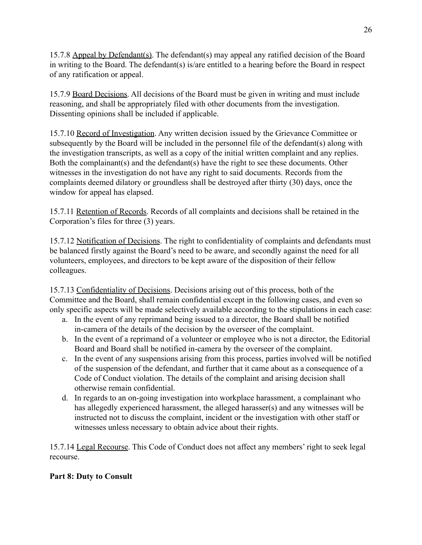15.7.8 Appeal by Defendant(s). The defendant(s) may appeal any ratified decision of the Board in writing to the Board. The defendant(s) is/are entitled to a hearing before the Board in respect of any ratification or appeal.

15.7.9 Board Decisions. All decisions of the Board must be given in writing and must include reasoning, and shall be appropriately filed with other documents from the investigation. Dissenting opinions shall be included if applicable.

15.7.10 Record of Investigation. Any written decision issued by the Grievance Committee or subsequently by the Board will be included in the personnel file of the defendant(s) along with the investigation transcripts, as well as a copy of the initial written complaint and any replies. Both the complainant(s) and the defendant(s) have the right to see these documents. Other witnesses in the investigation do not have any right to said documents. Records from the complaints deemed dilatory or groundless shall be destroyed after thirty (30) days, once the window for appeal has elapsed.

15.7.11 Retention of Records. Records of all complaints and decisions shall be retained in the Corporation's files for three (3) years.

15.7.12 Notification of Decisions. The right to confidentiality of complaints and defendants must be balanced firstly against the Board's need to be aware, and secondly against the need for all volunteers, employees, and directors to be kept aware of the disposition of their fellow colleagues.

15.7.13 Confidentiality of Decisions. Decisions arising out of this process, both of the Committee and the Board, shall remain confidential except in the following cases, and even so only specific aspects will be made selectively available according to the stipulations in each case:

- a. In the event of any reprimand being issued to a director, the Board shall be notified in-camera of the details of the decision by the overseer of the complaint.
- b. In the event of a reprimand of a volunteer or employee who is not a director, the Editorial Board and Board shall be notified in-camera by the overseer of the complaint.
- c. In the event of any suspensions arising from this process, parties involved will be notified of the suspension of the defendant, and further that it came about as a consequence of a Code of Conduct violation. The details of the complaint and arising decision shall otherwise remain confidential.
- d. In regards to an on-going investigation into workplace harassment, a complainant who has allegedly experienced harassment, the alleged harasser(s) and any witnesses will be instructed not to discuss the complaint, incident or the investigation with other staff or witnesses unless necessary to obtain advice about their rights.

15.7.14 Legal Recourse. This Code of Conduct does not affect any members' right to seek legal recourse.

# **Part 8: Duty to Consult**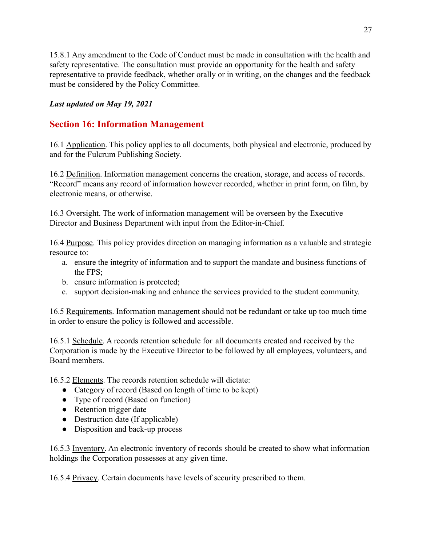15.8.1 Any amendment to the Code of Conduct must be made in consultation with the health and safety representative. The consultation must provide an opportunity for the health and safety representative to provide feedback, whether orally or in writing, on the changes and the feedback must be considered by the Policy Committee.

### *Last updated on May 19, 2021*

# **Section 16: Information Management**

16.1 Application. This policy applies to all documents, both physical and electronic, produced by and for the Fulcrum Publishing Society.

16.2 Definition. Information management concerns the creation, storage, and access of records. "Record" means any record of information however recorded, whether in print form, on film, by electronic means, or otherwise.

16.3 Oversight. The work of information management will be overseen by the Executive Director and Business Department with input from the Editor-in-Chief.

16.4 Purpose. This policy provides direction on managing information as a valuable and strategic resource to:

- a. ensure the integrity of information and to support the mandate and business functions of the FPS;
- b. ensure information is protected;
- c. support decision-making and enhance the services provided to the student community.

16.5 Requirements. Information management should not be redundant or take up too much time in order to ensure the policy is followed and accessible.

16.5.1 Schedule. A records retention schedule for all documents created and received by the Corporation is made by the Executive Director to be followed by all employees, volunteers, and Board members.

16.5.2 Elements. The records retention schedule will dictate:

- Category of record (Based on length of time to be kept)
- Type of record (Based on function)
- Retention trigger date
- Destruction date (If applicable)
- Disposition and back-up process

16.5.3 Inventory. An electronic inventory of records should be created to show what information holdings the Corporation possesses at any given time.

16.5.4 Privacy. Certain documents have levels of security prescribed to them.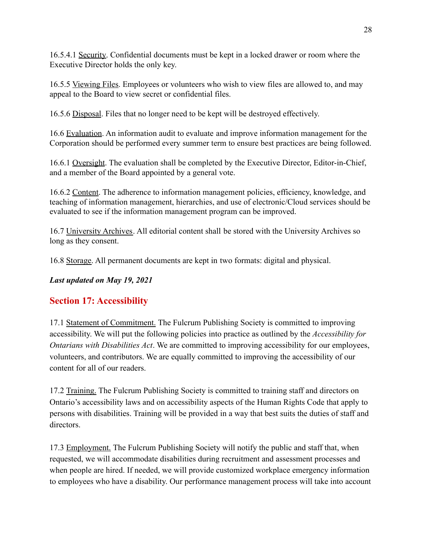16.5.4.1 Security. Confidential documents must be kept in a locked drawer or room where the Executive Director holds the only key.

16.5.5 Viewing Files. Employees or volunteers who wish to view files are allowed to, and may appeal to the Board to view secret or confidential files.

16.5.6 Disposal. Files that no longer need to be kept will be destroyed effectively.

16.6 Evaluation. An information audit to evaluate and improve information management for the Corporation should be performed every summer term to ensure best practices are being followed.

16.6.1 Oversight. The evaluation shall be completed by the Executive Director, Editor-in-Chief, and a member of the Board appointed by a general vote.

16.6.2 Content. The adherence to information management policies, efficiency, knowledge, and teaching of information management, hierarchies, and use of electronic/Cloud services should be evaluated to see if the information management program can be improved.

16.7 University Archives. All editorial content shall be stored with the University Archives so long as they consent.

16.8 Storage. All permanent documents are kept in two formats: digital and physical.

*Last updated on May 19, 2021*

# **Section 17: Accessibility**

17.1 Statement of Commitment. The Fulcrum Publishing Society is committed to improving accessibility. We will put the following policies into practice as outlined by the *Accessibility for Ontarians with Disabilities Act*. We are committed to improving accessibility for our employees, volunteers, and contributors. We are equally committed to improving the accessibility of our content for all of our readers.

17.2 Training. The Fulcrum Publishing Society is committed to training staff and directors on Ontario's accessibility laws and on accessibility aspects of the Human Rights Code that apply to persons with disabilities. Training will be provided in a way that best suits the duties of staff and directors.

17.3 Employment. The Fulcrum Publishing Society will notify the public and staff that, when requested, we will accommodate disabilities during recruitment and assessment processes and when people are hired. If needed, we will provide customized workplace emergency information to employees who have a disability. Our performance management process will take into account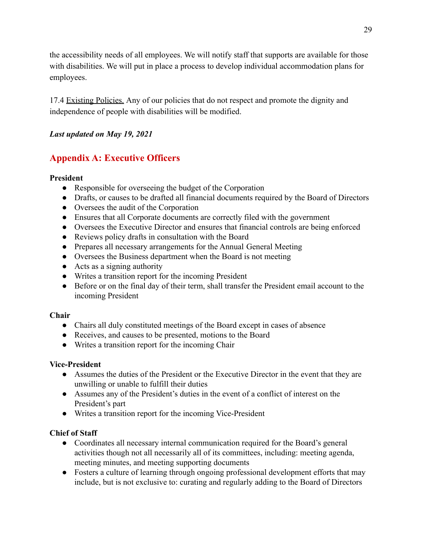the accessibility needs of all employees. We will notify staff that supports are available for those with disabilities. We will put in place a process to develop individual accommodation plans for employees.

17.4 Existing Policies. Any of our policies that do not respect and promote the dignity and independence of people with disabilities will be modified.

### *Last updated on May 19, 2021*

# **Appendix A: Executive Officers**

### **President**

- Responsible for overseeing the budget of the Corporation
- Drafts, or causes to be drafted all financial documents required by the Board of Directors
- Oversees the audit of the Corporation
- Ensures that all Corporate documents are correctly filed with the government
- Oversees the Executive Director and ensures that financial controls are being enforced
- Reviews policy drafts in consultation with the Board
- Prepares all necessary arrangements for the Annual General Meeting
- Oversees the Business department when the Board is not meeting
- $\bullet$  Acts as a signing authority
- Writes a transition report for the incoming President
- Before or on the final day of their term, shall transfer the President email account to the incoming President

### **Chair**

- Chairs all duly constituted meetings of the Board except in cases of absence
- Receives, and causes to be presented, motions to the Board
- Writes a transition report for the incoming Chair

### **Vice-President**

- Assumes the duties of the President or the Executive Director in the event that they are unwilling or unable to fulfill their duties
- Assumes any of the President's duties in the event of a conflict of interest on the President's part
- Writes a transition report for the incoming Vice-President

### **Chief of Staff**

- Coordinates all necessary internal communication required for the Board's general activities though not all necessarily all of its committees, including: meeting agenda, meeting minutes, and meeting supporting documents
- Fosters a culture of learning through ongoing professional development efforts that may include, but is not exclusive to: curating and regularly adding to the Board of Directors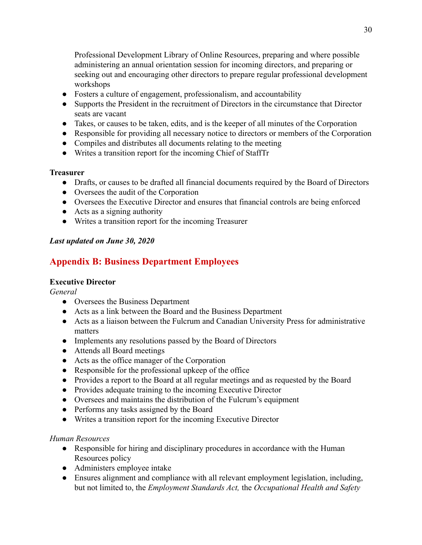Professional Development Library of Online Resources, preparing and where possible administering an annual orientation session for incoming directors, and preparing or seeking out and encouraging other directors to prepare regular professional development workshops

- Fosters a culture of engagement, professionalism, and accountability
- Supports the President in the recruitment of Directors in the circumstance that Director seats are vacant
- Takes, or causes to be taken, edits, and is the keeper of all minutes of the Corporation
- Responsible for providing all necessary notice to directors or members of the Corporation
- Compiles and distributes all documents relating to the meeting
- Writes a transition report for the incoming Chief of StaffTr

#### **Treasurer**

- Drafts, or causes to be drafted all financial documents required by the Board of Directors
- Oversees the audit of the Corporation
- Oversees the Executive Director and ensures that financial controls are being enforced
- $\bullet$  Acts as a signing authority
- Writes a transition report for the incoming Treasurer

### *Last updated on June 30, 2020*

# **Appendix B: Business Department Employees**

### **Executive Director**

*General*

- Oversees the Business Department
- Acts as a link between the Board and the Business Department
- Acts as a liaison between the Fulcrum and Canadian University Press for administrative matters
- Implements any resolutions passed by the Board of Directors
- Attends all Board meetings
- Acts as the office manager of the Corporation
- Responsible for the professional upkeep of the office
- Provides a report to the Board at all regular meetings and as requested by the Board
- Provides adequate training to the incoming Executive Director
- Oversees and maintains the distribution of the Fulcrum's equipment
- Performs any tasks assigned by the Board
- Writes a transition report for the incoming Executive Director

### *Human Resources*

- Responsible for hiring and disciplinary procedures in accordance with the Human Resources policy
- Administers employee intake
- Ensures alignment and compliance with all relevant employment legislation, including, but not limited to, the *Employment Standards Act,* the *Occupational Health and Safety*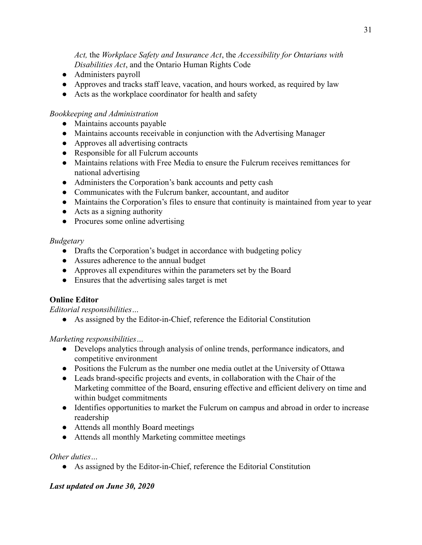*Act,* the *Workplace Safety and Insurance Act*, the *Accessibility for Ontarians with Disabilities Act*, and the Ontario Human Rights Code

- Administers payroll
- Approves and tracks staff leave, vacation, and hours worked, as required by law
- Acts as the workplace coordinator for health and safety

### *Bookkeeping and Administration*

- Maintains accounts payable
- Maintains accounts receivable in conjunction with the Advertising Manager
- Approves all advertising contracts
- Responsible for all Fulcrum accounts
- Maintains relations with Free Media to ensure the Fulcrum receives remittances for national advertising
- Administers the Corporation's bank accounts and petty cash
- Communicates with the Fulcrum banker, accountant, and auditor
- Maintains the Corporation's files to ensure that continuity is maintained from year to year
- Acts as a signing authority
- Procures some online advertising

#### *Budgetary*

- Drafts the Corporation's budget in accordance with budgeting policy
- Assures adherence to the annual budget
- Approves all expenditures within the parameters set by the Board
- Ensures that the advertising sales target is met

### **Online Editor**

*Editorial responsibilities…*

● As assigned by the Editor-in-Chief, reference the Editorial Constitution

### *Marketing responsibilities…*

- Develops analytics through analysis of online trends, performance indicators, and competitive environment
- Positions the Fulcrum as the number one media outlet at the University of Ottawa
- Leads brand-specific projects and events, in collaboration with the Chair of the Marketing committee of the Board, ensuring effective and efficient delivery on time and within budget commitments
- Identifies opportunities to market the Fulcrum on campus and abroad in order to increase readership
- Attends all monthly Board meetings
- Attends all monthly Marketing committee meetings

### *Other duties…*

● As assigned by the Editor-in-Chief, reference the Editorial Constitution

### *Last updated on June 30, 2020*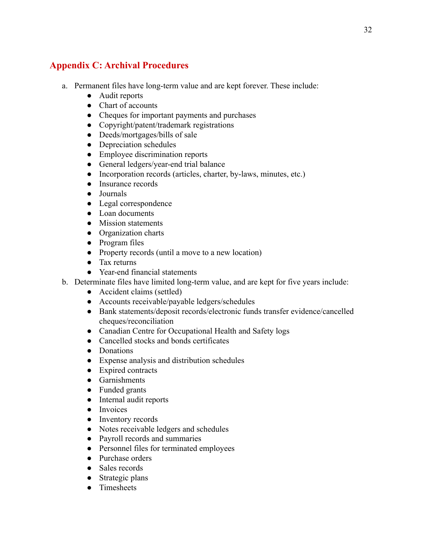# **Appendix C: Archival Procedures**

- a. Permanent files have long-term value and are kept forever. These include:
	- Audit reports
	- Chart of accounts
	- Cheques for important payments and purchases
	- Copyright/patent/trademark registrations
	- Deeds/mortgages/bills of sale
	- Depreciation schedules
	- Employee discrimination reports
	- General ledgers/year-end trial balance
	- Incorporation records (articles, charter, by-laws, minutes, etc.)
	- Insurance records
	- Journals
	- Legal correspondence
	- Loan documents
	- Mission statements
	- Organization charts
	- Program files
	- Property records (until a move to a new location)
	- Tax returns
	- Year-end financial statements
- b. Determinate files have limited long-term value, and are kept for five years include:
	- Accident claims (settled)
	- Accounts receivable/payable ledgers/schedules
	- Bank statements/deposit records/electronic funds transfer evidence/cancelled cheques/reconciliation
	- Canadian Centre for Occupational Health and Safety logs
	- Cancelled stocks and bonds certificates
	- Donations
	- Expense analysis and distribution schedules
	- Expired contracts
	- Garnishments
	- Funded grants
	- Internal audit reports
	- Invoices
	- Inventory records
	- Notes receivable ledgers and schedules
	- Payroll records and summaries
	- Personnel files for terminated employees
	- Purchase orders
	- Sales records
	- Strategic plans
	- Timesheets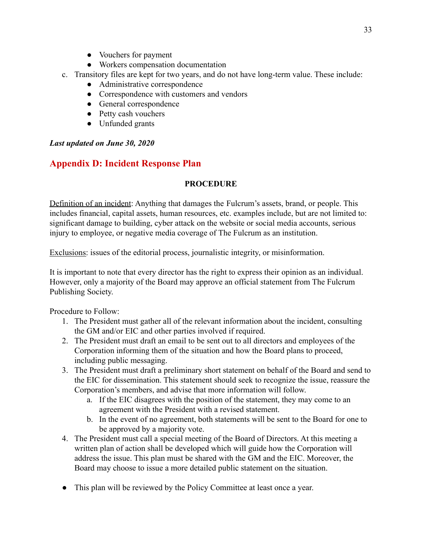- Vouchers for payment
- Workers compensation documentation
- c. Transitory files are kept for two years, and do not have long-term value. These include:
	- Administrative correspondence
	- Correspondence with customers and vendors
	- General correspondence
	- Petty cash vouchers
	- Unfunded grants

### *Last updated on June 30, 2020*

# **Appendix D: Incident Response Plan**

### **PROCEDURE**

Definition of an incident: Anything that damages the Fulcrum's assets, brand, or people. This includes financial, capital assets, human resources, etc. examples include, but are not limited to: significant damage to building, cyber attack on the website or social media accounts, serious injury to employee, or negative media coverage of The Fulcrum as an institution.

Exclusions: issues of the editorial process, journalistic integrity, or misinformation.

It is important to note that every director has the right to express their opinion as an individual. However, only a majority of the Board may approve an official statement from The Fulcrum Publishing Society.

Procedure to Follow:

- 1. The President must gather all of the relevant information about the incident, consulting the GM and/or EIC and other parties involved if required.
- 2. The President must draft an email to be sent out to all directors and employees of the Corporation informing them of the situation and how the Board plans to proceed, including public messaging.
- 3. The President must draft a preliminary short statement on behalf of the Board and send to the EIC for dissemination. This statement should seek to recognize the issue, reassure the Corporation's members, and advise that more information will follow.
	- a. If the EIC disagrees with the position of the statement, they may come to an agreement with the President with a revised statement.
	- b. In the event of no agreement, both statements will be sent to the Board for one to be approved by a majority vote.
- 4. The President must call a special meeting of the Board of Directors. At this meeting a written plan of action shall be developed which will guide how the Corporation will address the issue. This plan must be shared with the GM and the EIC. Moreover, the Board may choose to issue a more detailed public statement on the situation.
- This plan will be reviewed by the Policy Committee at least once a year.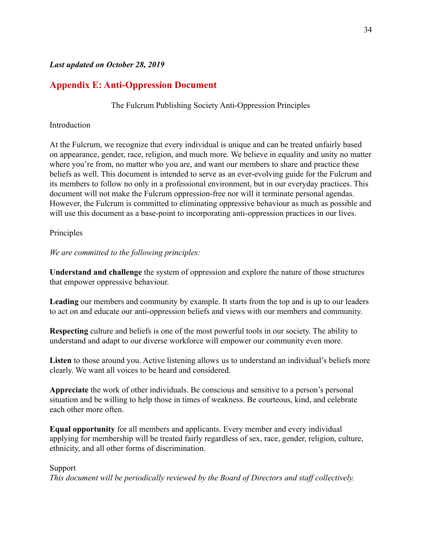#### *Last updated on October 28, 2019*

# **Appendix E: Anti-Oppression Document**

The Fulcrum Publishing Society Anti-Oppression Principles

#### **Introduction**

At the Fulcrum, we recognize that every individual is unique and can be treated unfairly based on appearance, gender, race, religion, and much more. We believe in equality and unity no matter where you're from, no matter who you are, and want our members to share and practice these beliefs as well. This document is intended to serve as an ever-evolving guide for the Fulcrum and its members to follow no only in a professional environment, but in our everyday practices. This document will not make the Fulcrum oppression-free nor will it terminate personal agendas. However, the Fulcrum is committed to eliminating oppressive behaviour as much as possible and will use this document as a base-point to incorporating anti-oppression practices in our lives.

#### Principles

*We are committed to the following principles:*

**Understand and challenge** the system of oppression and explore the nature of those structures that empower oppressive behaviour.

**Leading** our members and community by example. It starts from the top and is up to our leaders to act on and educate our anti-oppression beliefs and views with our members and community.

**Respecting** culture and beliefs is one of the most powerful tools in our society. The ability to understand and adapt to our diverse workforce will empower our community even more.

**Listen** to those around you. Active listening allows us to understand an individual's beliefs more clearly. We want all voices to be heard and considered.

**Appreciate** the work of other individuals. Be conscious and sensitive to a person's personal situation and be willing to help those in times of weakness. Be courteous, kind, and celebrate each other more often.

**Equal opportunity** for all members and applicants. Every member and every individual applying for membership will be treated fairly regardless of sex, race, gender, religion, culture, ethnicity, and all other forms of discrimination.

#### Support

*This document will be periodically reviewed by the Board of Directors and staff collectively.*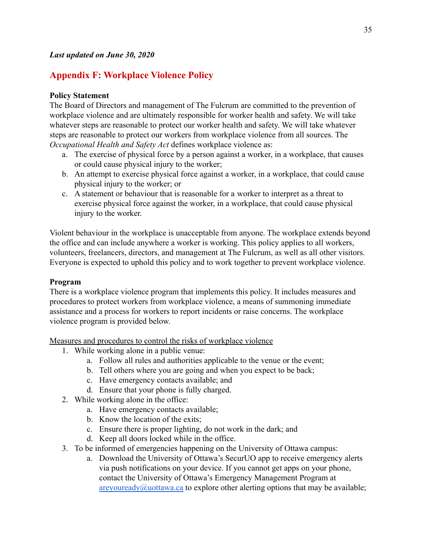# **Appendix F: Workplace Violence Policy**

### **Policy Statement**

The Board of Directors and management of The Fulcrum are committed to the prevention of workplace violence and are ultimately responsible for worker health and safety. We will take whatever steps are reasonable to protect our worker health and safety. We will take whatever steps are reasonable to protect our workers from workplace violence from all sources. The *Occupational Health and Safety Act* defines workplace violence as:

- a. The exercise of physical force by a person against a worker, in a workplace, that causes or could cause physical injury to the worker;
- b. An attempt to exercise physical force against a worker, in a workplace, that could cause physical injury to the worker; or
- c. A statement or behaviour that is reasonable for a worker to interpret as a threat to exercise physical force against the worker, in a workplace, that could cause physical injury to the worker.

Violent behaviour in the workplace is unacceptable from anyone. The workplace extends beyond the office and can include anywhere a worker is working. This policy applies to all workers, volunteers, freelancers, directors, and management at The Fulcrum, as well as all other visitors. Everyone is expected to uphold this policy and to work together to prevent workplace violence.

### **Program**

There is a workplace violence program that implements this policy. It includes measures and procedures to protect workers from workplace violence, a means of summoning immediate assistance and a process for workers to report incidents or raise concerns. The workplace violence program is provided below.

Measures and procedures to control the risks of workplace violence

- 1. While working alone in a public venue:
	- a. Follow all rules and authorities applicable to the venue or the event;
	- b. Tell others where you are going and when you expect to be back;
	- c. Have emergency contacts available; and
	- d. Ensure that your phone is fully charged.
- 2. While working alone in the office:
	- a. Have emergency contacts available;
	- b. Know the location of the exits;
	- c. Ensure there is proper lighting, do not work in the dark; and
	- d. Keep all doors locked while in the office.
- 3. To be informed of emergencies happening on the University of Ottawa campus:
	- a. Download the University of Ottawa's SecurUO app to receive emergency alerts via push notifications on your device. If you cannot get apps on your phone, contact the University of Ottawa's Emergency Management Program at  $are you ready@uottawa.ca$  to explore other alerting options that may be available;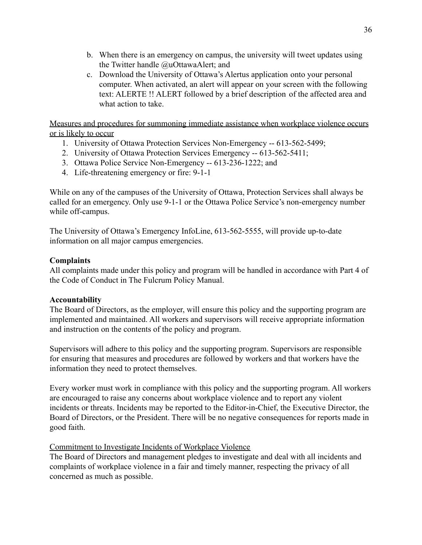- b. When there is an emergency on campus, the university will tweet updates using the Twitter handle @uOttawaAlert; and
- c. Download the University of Ottawa's Alertus application onto your personal computer. When activated, an alert will appear on your screen with the following text: ALERTE !! ALERT followed by a brief description of the affected area and what action to take.

Measures and procedures for summoning immediate assistance when workplace violence occurs or is likely to occur

- 1. University of Ottawa Protection Services Non-Emergency -- 613-562-5499;
- 2. University of Ottawa Protection Services Emergency -- 613-562-5411;
- 3. Ottawa Police Service Non-Emergency -- 613-236-1222; and
- 4. Life-threatening emergency or fire: 9-1-1

While on any of the campuses of the University of Ottawa, Protection Services shall always be called for an emergency. Only use 9-1-1 or the Ottawa Police Service's non-emergency number while off-campus.

The University of Ottawa's Emergency InfoLine, 613-562-5555, will provide up-to-date information on all major campus emergencies.

### **Complaints**

All complaints made under this policy and program will be handled in accordance with Part 4 of the Code of Conduct in The Fulcrum Policy Manual.

### **Accountability**

The Board of Directors, as the employer, will ensure this policy and the supporting program are implemented and maintained. All workers and supervisors will receive appropriate information and instruction on the contents of the policy and program.

Supervisors will adhere to this policy and the supporting program. Supervisors are responsible for ensuring that measures and procedures are followed by workers and that workers have the information they need to protect themselves.

Every worker must work in compliance with this policy and the supporting program. All workers are encouraged to raise any concerns about workplace violence and to report any violent incidents or threats. Incidents may be reported to the Editor-in-Chief, the Executive Director, the Board of Directors, or the President. There will be no negative consequences for reports made in good faith.

### Commitment to Investigate Incidents of Workplace Violence

The Board of Directors and management pledges to investigate and deal with all incidents and complaints of workplace violence in a fair and timely manner, respecting the privacy of all concerned as much as possible.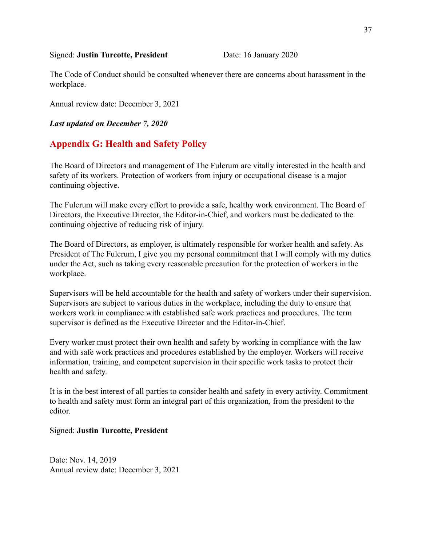#### Signed: **Justin Turcotte, President** Date: 16 January 2020

The Code of Conduct should be consulted whenever there are concerns about harassment in the workplace.

Annual review date: December 3, 2021

*Last updated on December 7, 2020*

### **Appendix G: Health and Safety Policy**

The Board of Directors and management of The Fulcrum are vitally interested in the health and safety of its workers. Protection of workers from injury or occupational disease is a major continuing objective.

The Fulcrum will make every effort to provide a safe, healthy work environment. The Board of Directors, the Executive Director, the Editor-in-Chief, and workers must be dedicated to the continuing objective of reducing risk of injury.

The Board of Directors, as employer, is ultimately responsible for worker health and safety. As President of The Fulcrum, I give you my personal commitment that I will comply with my duties under the Act, such as taking every reasonable precaution for the protection of workers in the workplace.

Supervisors will be held accountable for the health and safety of workers under their supervision. Supervisors are subject to various duties in the workplace, including the duty to ensure that workers work in compliance with established safe work practices and procedures. The term supervisor is defined as the Executive Director and the Editor-in-Chief.

Every worker must protect their own health and safety by working in compliance with the law and with safe work practices and procedures established by the employer. Workers will receive information, training, and competent supervision in their specific work tasks to protect their health and safety.

It is in the best interest of all parties to consider health and safety in every activity. Commitment to health and safety must form an integral part of this organization, from the president to the editor.

#### Signed: **Justin Turcotte, President**

Date: Nov. 14, 2019 Annual review date: December 3, 2021